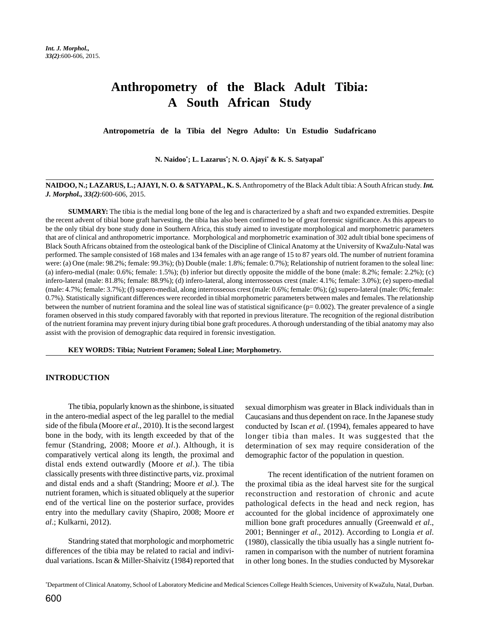# **Anthropometry of the Black Adult Tibia: A South African Study**

**Antropometría de la Tibia del Negro Adulto: Un Estudio Sudafricano**

**N. Naidoo\* ; L. Lazarus\* ; N. O. Ajayi\* & K. S. Satyapal\***

## **NAIDOO, N.; LAZARUS, L.; AJAYI, N. O. & SATYAPAL, K. S.** Anthropometry of the Black Adult tibia: A South African study. *Int. J. Morphol., 33(2)*:600-606, 2015.

**SUMMARY:** The tibia is the medial long bone of the leg and is characterized by a shaft and two expanded extremities. Despite the recent advent of tibial bone graft harvesting, the tibia has also been confirmed to be of great forensic significance. As this appears to be the only tibial dry bone study done in Southern Africa, this study aimed to investigate morphological and morphometric parameters that are of clinical and anthropometric importance. Morphological and morphometric examination of 302 adult tibial bone specimens of Black South Africans obtained from the osteological bank of the Discipline of Clinical Anatomy at the University of KwaZulu-Natal was performed. The sample consisted of 168 males and 134 females with an age range of 15 to 87 years old. The number of nutrient foramina were: (a) One (male: 98.2%; female: 99.3%); (b) Double (male: 1.8%; female: 0.7%); Relationship of nutrient foramen to the soleal line: (a) infero-medial (male: 0.6%; female: 1.5%); (b) inferior but directly opposite the middle of the bone (male: 8.2%; female: 2.2%); (c) infero-lateral (male: 81.8%; female: 88.9%); (d) infero-lateral, along interrosseous crest (male: 4.1%; female: 3.0%); (e) supero-medial (male: 4.7%; female: 3.7%); (f) supero-medial, along interrosseous crest (male: 0.6%; female: 0%); (g) supero-lateral (male: 0%; female: 0.7%). Statistically significant differences were recorded in tibial morphometric parameters between males and females. The relationship between the number of nutrient foramina and the soleal line was of statistical significance ( $p= 0.002$ ). The greater prevalence of a single foramen observed in this study compared favorably with that reported in previous literature. The recognition of the regional distribution of the nutrient foramina may prevent injury during tibial bone graft procedures. A thorough understanding of the tibial anatomy may also assist with the provision of demographic data required in forensic investigation.

**KEY WORDS: Tibia; Nutrient Foramen; Soleal Line; Morphometry.**

#### **INTRODUCTION**

The tibia, popularly known as the shinbone, is situated in the antero-medial aspect of the leg parallel to the medial side of the fibula (Moore *et al*., 2010). It is the second largest bone in the body, with its length exceeded by that of the femur (Standring, 2008; Moore *et al*.). Although, it is comparatively vertical along its length, the proximal and distal ends extend outwardly (Moore *et al*.). The tibia classically presents with three distinctive parts, viz. proximal and distal ends and a shaft (Standring; Moore *et al*.). The nutrient foramen, which is situated obliquely at the superior end of the vertical line on the posterior surface, provides entry into the medullary cavity (Shapiro, 2008; Moore *et al*.; Kulkarni, 2012).

Standring stated that morphologic and morphometric differences of the tibia may be related to racial and individual variations. Iscan & Miller-Shaivitz (1984) reported that sexual dimorphism was greater in Black individuals than in Caucasians and thus dependent on race. In the Japanese study conducted by Iscan *et al*. (1994), females appeared to have longer tibia than males. It was suggested that the determination of sex may require consideration of the demographic factor of the population in question.

The recent identification of the nutrient foramen on the proximal tibia as the ideal harvest site for the surgical reconstruction and restoration of chronic and acute pathological defects in the head and neck region, has accounted for the global incidence of approximately one million bone graft procedures annually (Greenwald *et al*., 2001; Benninger *et al*., 2012). According to Longia *et al*. (1980), classically the tibia usually has a single nutrient foramen in comparison with the number of nutrient foramina in other long bones. In the studies conducted by Mysorekar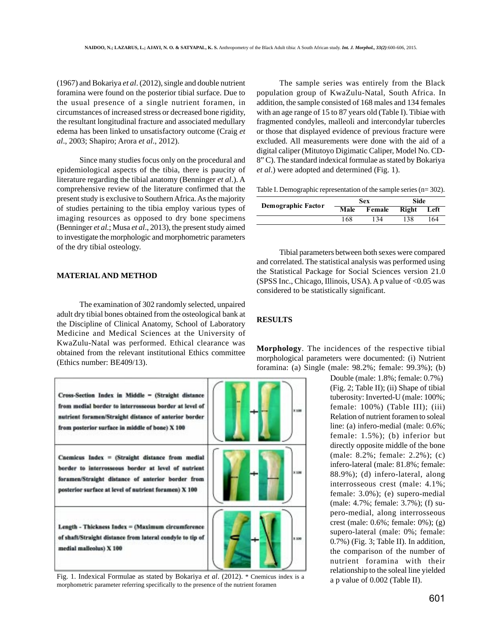(1967) and Bokariya *et al*. (2012), single and double nutrient foramina were found on the posterior tibial surface. Due to the usual presence of a single nutrient foramen, in circumstances of increased stress or decreased bone rigidity, the resultant longitudinal fracture and associated medullary edema has been linked to unsatisfactory outcome (Craig *et al*., 2003; Shapiro; Arora *et al*., 2012).

Since many studies focus only on the procedural and epidemiological aspects of the tibia, there is paucity of literature regarding the tibial anatomy (Benninger *et al*.). A comprehensive review of the literature confirmed that the present study is exclusive to Southern Africa. As the majority of studies pertaining to the tibia employ various types of imaging resources as opposed to dry bone specimens (Benninger *et al*.; Musa *et al*., 2013), the present study aimed to investigate the morphologic and morphometric parameters of the dry tibial osteology.

# **MATERIAL AND METHOD**

The examination of 302 randomly selected, unpaired adult dry tibial bones obtained from the osteological bank at the Discipline of Clinical Anatomy, School of Laboratory Medicine and Medical Sciences at the University of KwaZulu-Natal was performed. Ethical clearance was obtained from the relevant institutional Ethics committee (Ethics number: BE409/13).



Fig. 1. Indexical Formulae as stated by Bokariya *et al*. (2012). \* Cnemicus index is a morphometric parameter referring specifically to the presence of the nutrient foramen

The sample series was entirely from the Black population group of KwaZulu-Natal, South Africa. In addition, the sample consisted of 168 males and 134 females with an age range of 15 to 87 years old (Table I). Tibiae with fragmented condyles, malleoli and intercondylar tubercles or those that displayed evidence of previous fracture were excluded. All measurements were done with the aid of a digital caliper (Mitutoyo Digimatic Caliper, Model No. CD-8" C). The standard indexical formulae as stated by Bokariya *et al*.) were adopted and determined (Fig. 1).

Table I. Demographic representation of the sample series (n= 302).

| Demographic Factor | Sex  |        | Side  |      |
|--------------------|------|--------|-------|------|
|                    | Male | Female | Right | Left |
|                    | 168  | 134    | 138   | 164  |

Tibial parameters between both sexes were compared and correlated. The statistical analysis was performed using the Statistical Package for Social Sciences version 21.0 (SPSS Inc., Chicago, Illinois, USA). A p value of  $< 0.05$  was considered to be statistically significant.

# **RESULTS**

**Morphology**. The incidences of the respective tibial morphological parameters were documented: (i) Nutrient foramina: (a) Single (male: 98.2%; female: 99.3%); (b)

> Double (male: 1.8%; female: 0.7%) (Fig. 2; Table II); (ii) Shape of tibial tuberosity: Inverted-U (male: 100%; female: 100%) (Table III); (iii) Relation of nutrient foramen to soleal line: (a) infero-medial (male: 0.6%; female: 1.5%); (b) inferior but directly opposite middle of the bone (male: 8.2%; female: 2.2%); (c) infero-lateral (male: 81.8%; female: 88.9%); (d) infero-lateral, along interrosseous crest (male: 4.1%; female: 3.0%); (e) supero-medial (male: 4.7%; female: 3.7%); (f) supero-medial, along interrosseous crest (male: 0.6%; female: 0%); (g) supero-lateral (male: 0%; female: 0.7%) (Fig. 3; Table II). In addition, the comparison of the number of nutrient foramina with their relationship to the soleal line yielded a p value of 0.002 (Table II).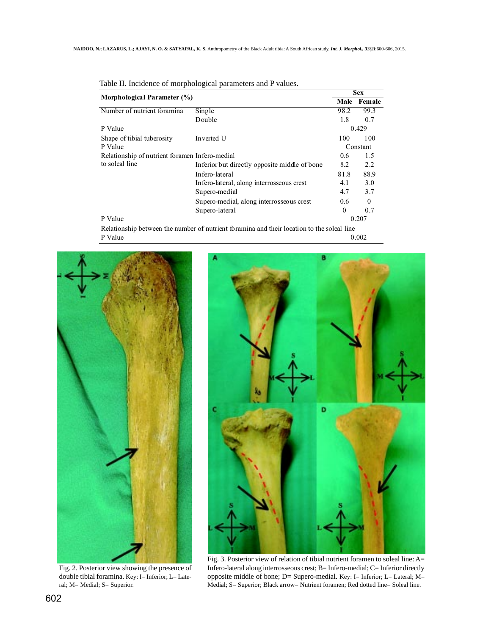|                                                |                                                                                            | <b>Sex</b> |              |
|------------------------------------------------|--------------------------------------------------------------------------------------------|------------|--------------|
| Morphological Parameter (%)                    |                                                                                            | Male       | Female       |
| Number of nutrient foramina                    | Single                                                                                     | 98.2       | 99.3         |
|                                                | Double                                                                                     | 1.8        | 0.7          |
| P Value                                        |                                                                                            | 0.429      |              |
| Shape of tibial tuberosity                     | Inverted U                                                                                 | 100        | 100          |
| P Value                                        |                                                                                            | Constant   |              |
| Relationship of nutrient foramen Infero-medial |                                                                                            | 0.6        | 1.5          |
| to soleal line                                 | Inferior but directly opposite middle of bone                                              | 8.2        | 2.2          |
|                                                | In fero-lateral                                                                            | 81.8       | 88.9         |
|                                                | Infero-lateral, along interrosseous crest                                                  | 4.1        | 3.0          |
|                                                | Supero-medial                                                                              | 4.7        | 3.7          |
|                                                | Supero-medial, along interrosseous crest                                                   | 0.6        | $\mathbf{0}$ |
|                                                | Supero-lateral                                                                             | $\theta$   | 0.7          |
| P Value                                        |                                                                                            |            | 0.207        |
|                                                | Relationship between the number of nutrient foramina and their location to the soleal line |            |              |

|  |  | Table II. Incidence of morphological parameters and P values. |  |
|--|--|---------------------------------------------------------------|--|
|  |  |                                                               |  |

P Value 0.002



Fig. 2. Posterior view showing the presence of double tibial foramina. Key: I= Inferior; L= Lateral; M= Medial; S= Superior.



Fig. 3. Posterior view of relation of tibial nutrient foramen to soleal line: A= Infero-lateral along interrosseous crest; B= Infero-medial; C= Inferior directly opposite middle of bone; D= Supero-medial. Key: I= Inferior; L= Lateral; M= Medial; S= Superior; Black arrow= Nutrient foramen; Red dotted line= Soleal line.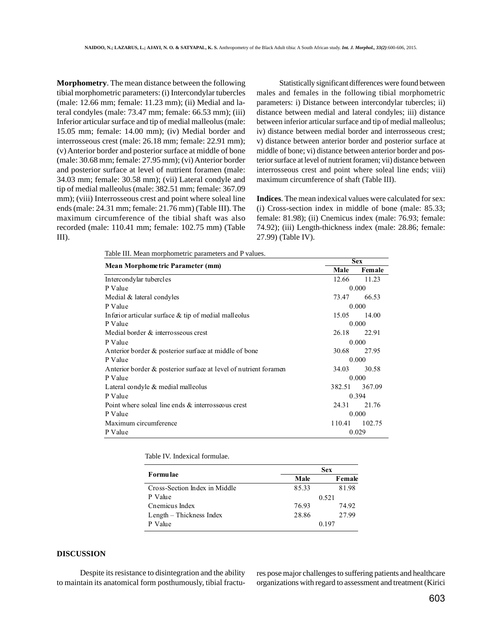**Morphometry**. The mean distance between the following tibial morphometric parameters: (i) Intercondylar tubercles (male: 12.66 mm; female: 11.23 mm); (ii) Medial and lateral condyles (male: 73.47 mm; female: 66.53 mm); (iii) Inferior articular surface and tip of medial malleolus (male: 15.05 mm; female: 14.00 mm); (iv) Medial border and interrosseous crest (male: 26.18 mm; female: 22.91 mm); (v) Anterior border and posterior surface at middle of bone (male: 30.68 mm; female: 27.95 mm); (vi) Anterior border and posterior surface at level of nutrient foramen (male: 34.03 mm; female: 30.58 mm); (vii) Lateral condyle and tip of medial malleolus (male: 382.51 mm; female: 367.09 mm); (viii) Interrosseous crest and point where soleal line ends (male: 24.31 mm; female: 21.76 mm) (Table III). The maximum circumference of the tibial shaft was also recorded (male: 110.41 mm; female: 102.75 mm) (Table III).

Statistically significant differences were found between males and females in the following tibial morphometric parameters: i) Distance between intercondylar tubercles; ii) distance between medial and lateral condyles; iii) distance between inferior articular surface and tip of medial malleolus; iv) distance between medial border and interrosseous crest; v) distance between anterior border and posterior surface at middle of bone; vi) distance between anterior border and posterior surface at level of nutrient foramen; vii) distance between interrosseous crest and point where soleal line ends; viii) maximum circumference of shaft (Table III).

**Indices**. The mean indexical values were calculated for sex: (i) Cross-section index in middle of bone (male: 85.33; female: 81.98); (ii) Cnemicus index (male: 76.93; female: 74.92); (iii) Length-thickness index (male: 28.86; female: 27.99) (Table IV).

Table III. Mean morphometric parameters and P values.

|                                                                  | <b>Sex</b> |        |
|------------------------------------------------------------------|------------|--------|
| Mean Morphome tric Parameter (mm)                                | Male       | Female |
| Intercondylar tubercles                                          | 12.66      | 11.23  |
| P Value                                                          | 0.000      |        |
| Medial & lateral condyles                                        | 73.47      | 66.53  |
| P Value                                                          |            | 0.000  |
| Inferior articular surface $\&$ tip of medial malleolus          | 15.05      | 14.00  |
| P Value                                                          | 0.000      |        |
| Medial border & interrosseous crest                              | 26.18      | 22.91  |
| P Value                                                          |            | 0.000  |
| Anterior border & posterior surface at middle of bone            | 30.68      | 27.95  |
| P Value                                                          | 0.000      |        |
| Anterior border & posterior surface at level of nutrient foramen | 34.03      | 30.58  |
| P Value                                                          | 0.000      |        |
| Lateral condyle & medial malleolus                               | 382.51     | 367.09 |
| P Value                                                          |            | 0.394  |
| Point where soleal line ends $\&$ interrosseous crest            | 24.31      | 21.76  |
| P Value                                                          | 0.000      |        |
| Maximum circumference                                            | 110.41     | 102.75 |
| P Value                                                          | 0.029      |        |

Table IV. Indexical formulae.

|                               | Sex   |        |  |
|-------------------------------|-------|--------|--|
| Formu lae                     | Male  | Female |  |
| Cross-Section Index in Middle | 85.33 | 81.98  |  |
| P Value                       |       | 0.521  |  |
| Cnemicus Index                | 76.93 | 74.92  |  |
| Length – Thickness Index      | 28.86 | 27.99  |  |
| Value                         |       | 0.197  |  |

## **DISCUSSION**

 Despite its resistance to disintegration and the ability to maintain its anatomical form posthumously, tibial fractures pose major challenges to suffering patients and healthcare organizations with regard to assessment and treatment (Kirici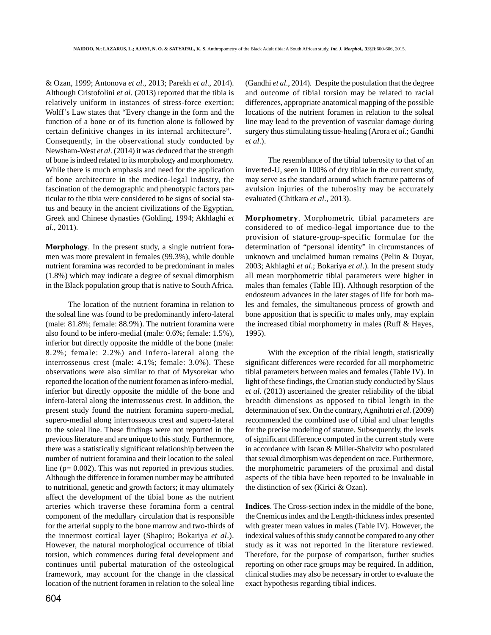& Ozan, 1999; Antonova *et al*., 2013; Parekh *et al*., 2014). Although Cristofolini *et al*. (2013) reported that the tibia is relatively uniform in instances of stress-force exertion; Wolff's Law states that "Every change in the form and the function of a bone or of its function alone is followed by certain definitive changes in its internal architecture". Consequently, in the observational study conducted by Newsham-West *et al*. (2014) it was deduced that the strength of bone is indeed related to its morphology and morphometry. While there is much emphasis and need for the application of bone architecture in the medico-legal industry, the fascination of the demographic and phenotypic factors particular to the tibia were considered to be signs of social status and beauty in the ancient civilizations of the Egyptian, Greek and Chinese dynasties (Golding, 1994; Akhlaghi *et al*., 2011).

**Morphology**. In the present study, a single nutrient foramen was more prevalent in females (99.3%), while double nutrient foramina was recorded to be predominant in males (1.8%) which may indicate a degree of sexual dimorphism in the Black population group that is native to South Africa.

The location of the nutrient foramina in relation to the soleal line was found to be predominantly infero-lateral (male: 81.8%; female: 88.9%). The nutrient foramina were also found to be infero-medial (male: 0.6%; female: 1.5%), inferior but directly opposite the middle of the bone (male: 8.2%; female: 2.2%) and infero-lateral along the interrosseous crest (male: 4.1%; female: 3.0%). These observations were also similar to that of Mysorekar who reported the location of the nutrient foramen as infero-medial, inferior but directly opposite the middle of the bone and infero-lateral along the interrosseous crest. In addition, the present study found the nutrient foramina supero-medial, supero-medial along interrosseous crest and supero-lateral to the soleal line. These findings were not reported in the previous literature and are unique to this study. Furthermore, there was a statistically significant relationship between the number of nutrient foramina and their location to the soleal line (p= 0.002). This was not reported in previous studies. Although the difference in foramen number may be attributed to nutritional, genetic and growth factors; it may ultimately affect the development of the tibial bone as the nutrient arteries which traverse these foramina form a central component of the medullary circulation that is responsible for the arterial supply to the bone marrow and two-thirds of the innermost cortical layer (Shapiro; Bokariya *et al*.). However, the natural morphological occurrence of tibial torsion, which commences during fetal development and continues until pubertal maturation of the osteological framework, may account for the change in the classical location of the nutrient foramen in relation to the soleal line

(Gandhi *et al*., 2014). Despite the postulation that the degree and outcome of tibial torsion may be related to racial differences, appropriate anatomical mapping of the possible locations of the nutrient foramen in relation to the soleal line may lead to the prevention of vascular damage during surgery thus stimulating tissue-healing (Arora *et al*.; Gandhi *et al*.).

The resemblance of the tibial tuberosity to that of an inverted-U, seen in 100% of dry tibiae in the current study, may serve as the standard around which fracture patterns of avulsion injuries of the tuberosity may be accurately evaluated (Chitkara *et al*., 2013).

**Morphometry**. Morphometric tibial parameters are considered to of medico-legal importance due to the provision of stature-group-specific formulae for the determination of "personal identity" in circumstances of unknown and unclaimed human remains (Pelin & Duyar, 2003; Akhlaghi *et al*.; Bokariya *et al*.). In the present study all mean morphometric tibial parameters were higher in males than females (Table III). Although resorption of the endosteum advances in the later stages of life for both males and females, the simultaneous process of growth and bone apposition that is specific to males only, may explain the increased tibial morphometry in males (Ruff & Hayes, 1995).

With the exception of the tibial length, statistically significant differences were recorded for all morphometric tibial parameters between males and females (Table IV). In light of these findings, the Croatian study conducted by Slaus *et al*. (2013) ascertained the greater reliability of the tibial breadth dimensions as opposed to tibial length in the determination of sex. On the contrary, Agnihotri *et al*. (2009) recommended the combined use of tibial and ulnar lengths for the precise modeling of stature. Subsequently, the levels of significant difference computed in the current study were in accordance with Iscan & Miller-Shaivitz who postulated that sexual dimorphism was dependent on race. Furthermore, the morphometric parameters of the proximal and distal aspects of the tibia have been reported to be invaluable in the distinction of sex (Kirici & Ozan).

**Indices**. The Cross-section index in the middle of the bone, the Cnemicus index and the Length-thickness index presented with greater mean values in males (Table IV). However, the indexical values of this study cannot be compared to any other study as it was not reported in the literature reviewed. Therefore, for the purpose of comparison, further studies reporting on other race groups may be required. In addition, clinical studies may also be necessary in order to evaluate the exact hypothesis regarding tibial indices.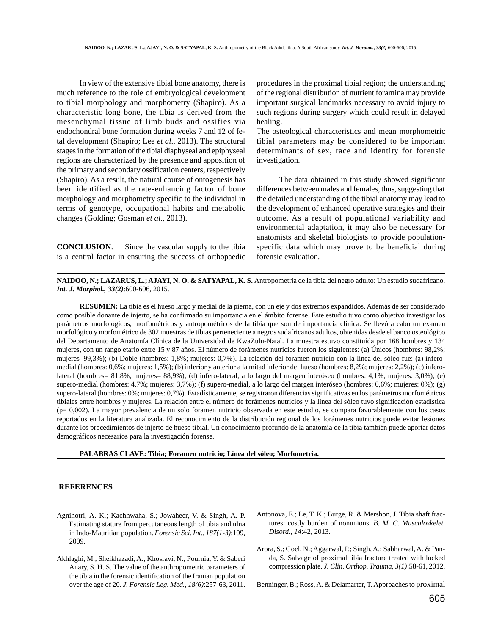In view of the extensive tibial bone anatomy, there is much reference to the role of embryological development to tibial morphology and morphometry (Shapiro). As a characteristic long bone, the tibia is derived from the mesenchymal tissue of limb buds and ossifies via endochondral bone formation during weeks 7 and 12 of fetal development (Shapiro; Lee *et al*., 2013). The structural stages in the formation of the tibial diaphyseal and epiphyseal regions are characterized by the presence and apposition of the primary and secondary ossification centers, respectively (Shapiro). As a result, the natural course of ontogenesis has been identified as the rate-enhancing factor of bone morphology and morphometry specific to the individual in terms of genotype, occupational habits and metabolic changes (Golding; Gosman *et al*., 2013).

**CONCLUSION**. Since the vascular supply to the tibia is a central factor in ensuring the success of orthopaedic procedures in the proximal tibial region; the understanding of the regional distribution of nutrient foramina may provide important surgical landmarks necessary to avoid injury to such regions during surgery which could result in delayed healing.

The osteological characteristics and mean morphometric tibial parameters may be considered to be important determinants of sex, race and identity for forensic investigation.

The data obtained in this study showed significant differences between males and females, thus, suggesting that the detailed understanding of the tibial anatomy may lead to the development of enhanced operative strategies and their outcome. As a result of populational variability and environmental adaptation, it may also be necessary for anatomists and skeletal biologists to provide populationspecific data which may prove to be beneficial during forensic evaluation.

**NAIDOO, N.; LAZARUS, L.; AJAYI, N. O. & SATYAPAL, K. S.** Antropometría de la tibia del negro adulto: Un estudio sudafricano. *Int. J. Morphol., 33(2)*:600-606, 2015.

**RESUMEN:** La tibia es el hueso largo y medial de la pierna, con un eje y dos extremos expandidos. Además de ser considerado como posible donante de injerto, se ha confirmado su importancia en el ámbito forense. Este estudio tuvo como objetivo investigar los parámetros morfológicos, morfométricos y antropométricos de la tibia que son de importancia clínica. Se llevó a cabo un examen morfológico y morfométrico de 302 muestras de tibias perteneciente a negros sudafricanos adultos, obtenidas desde el banco osteológico del Departamento de Anatomía Clínica de la Universidad de KwaZulu-Natal. La muestra estuvo constituída por 168 hombres y 134 mujeres, con un rango etario entre 15 y 87 años. El número de forámenes nutricios fueron los siguientes: (a) Únicos (hombres: 98,2%; mujeres 99,3%); (b) Doble (hombres: 1,8%; mujeres: 0,7%). La relación del foramen nutricio con la línea del sóleo fue: (a) inferomedial (hombres: 0,6%; mujeres: 1,5%); (b) inferior y anterior a la mitad inferior del hueso (hombres: 8,2%; mujeres: 2,2%); (c) inferolateral (hombres= 81,8%; mujeres= 88,9%); (d) infero-lateral, a lo largo del margen interóseo (hombres: 4,1%; mujeres: 3,0%); (e) supero-medial (hombres: 4,7%; mujeres: 3,7%); (f) supero-medial, a lo largo del margen interóseo (hombres: 0,6%; mujeres: 0%); (g) supero-lateral (hombres: 0%; mujeres: 0,7%). Estadísticamente, se registraron diferencias significativas en los parámetros morfométricos tibiales entre hombres y mujeres. La relación entre el número de forámenes nutricios y la línea del sóleo tuvo significación estadística (p= 0,002). La mayor prevalencia de un solo foramen nutricio observada en este estudio, se compara favorablemente con los casos reportados en la literatura analizada. El reconocimiento de la distribución regional de los forámenes nutricios puede evitar lesiones durante los procedimientos de injerto de hueso tibial. Un conocimiento profundo de la anatomía de la tibia también puede aportar datos demográficos necesarios para la investigación forense.

**PALABRAS CLAVE: Tibia; Foramen nutricio; Línea del sóleo; Morfometría.**

#### **REFERENCES**

- Agnihotri, A. K.; Kachhwaha, S.; Jowaheer, V. & Singh, A. P. Estimating stature from percutaneous length of tibia and ulna in Indo-Mauritian population. *Forensic Sci. Int., 187(1-3)*:109, 2009.
- Akhlaghi, M.; Sheikhazadi, A.; Khosravi, N.; Pournia, Y. & Saberi Anary, S. H. S. The value of the anthropometric parameters of the tibia in the forensic identification of the Iranian population over the age of 20. *J. Forensic Leg. Med., 18(6)*:257-63, 2011.
- Antonova, E.; Le, T. K.; Burge, R. & Mershon, J. Tibia shaft fractures: costly burden of nonunions. *B. M. C. Musculoskelet. Disord., 14*:42, 2013.
- Arora, S.; Goel, N.; Aggarwal, P.; Singh, A.; Sabharwal, A. & Panda, S. Salvage of proximal tibia fracture treated with locked compression plate. *J. Clin. Orthop. Trauma, 3(1)*:58-61, 2012.
- Benninger, B.; Ross, A. & Delamarter, T. Approaches to proximal